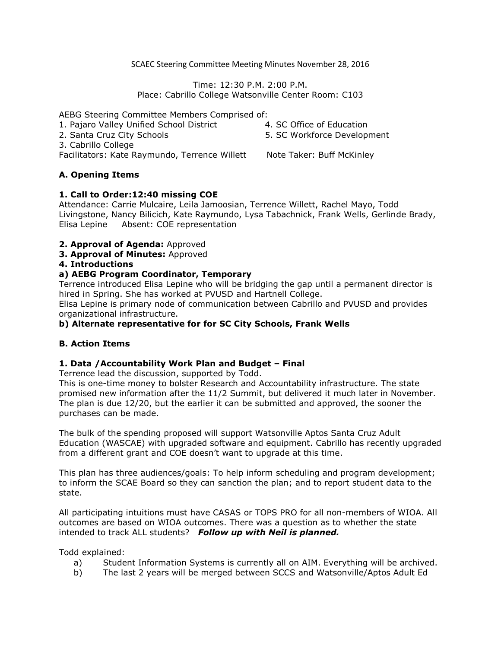SCAEC Steering Committee Meeting Minutes November 28, 2016

Time: 12:30 P.M. 2:00 P.M. Place: Cabrillo College Watsonville Center Room: C103

AEBG Steering Committee Members Comprised of:

- 1. Pajaro Valley Unified School District 2. Santa Cruz City Schools
- 4. SC Office of Education

5. SC Workforce Development

3. Cabrillo College

Facilitators: Kate Raymundo, Terrence Willett Note Taker: Buff McKinley

# **A. Opening Items**

## **1. Call to Order:12:40 missing COE**

Attendance: Carrie Mulcaire, Leila Jamoosian, Terrence Willett, Rachel Mayo, Todd Livingstone, Nancy Bilicich, Kate Raymundo, Lysa Tabachnick, Frank Wells, Gerlinde Brady, Elisa Lepine Absent: COE representation

- **2. Approval of Agenda:** Approved
- **3. Approval of Minutes:** Approved

## **4. Introductions**

## **a) AEBG Program Coordinator, Temporary**

Terrence introduced Elisa Lepine who will be bridging the gap until a permanent director is hired in Spring. She has worked at PVUSD and Hartnell College.

Elisa Lepine is primary node of communication between Cabrillo and PVUSD and provides organizational infrastructure.

# **b) Alternate representative for for SC City Schools, Frank Wells**

# **B. Action Items**

### **1. Data /Accountability Work Plan and Budget – Final**

Terrence lead the discussion, supported by Todd.

This is one-time money to bolster Research and Accountability infrastructure. The state promised new information after the 11/2 Summit, but delivered it much later in November. The plan is due 12/20, but the earlier it can be submitted and approved, the sooner the purchases can be made.

The bulk of the spending proposed will support Watsonville Aptos Santa Cruz Adult Education (WASCAE) with upgraded software and equipment. Cabrillo has recently upgraded from a different grant and COE doesn't want to upgrade at this time.

This plan has three audiences/goals: To help inform scheduling and program development; to inform the SCAE Board so they can sanction the plan; and to report student data to the state.

All participating intuitions must have CASAS or TOPS PRO for all non-members of WIOA. All outcomes are based on WIOA outcomes. There was a question as to whether the state intended to track ALL students? *Follow up with Neil is planned.*

Todd explained:

- a) Student Information Systems is currently all on AIM. Everything will be archived.
- b) The last 2 years will be merged between SCCS and Watsonville/Aptos Adult Ed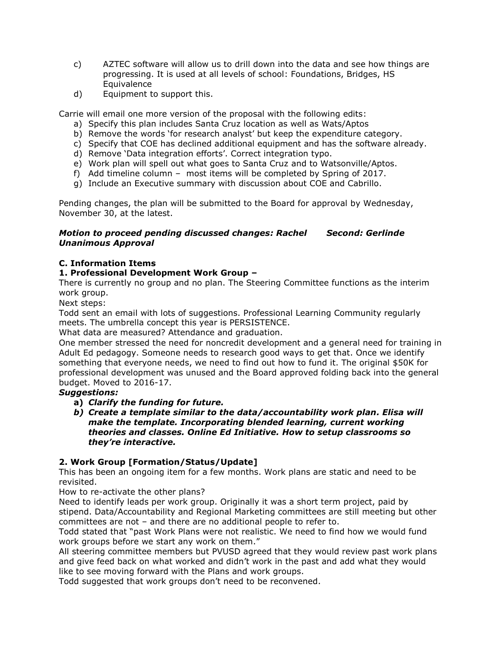- c) AZTEC software will allow us to drill down into the data and see how things are progressing. It is used at all levels of school: Foundations, Bridges, HS **Equivalence**
- d) Equipment to support this.

Carrie will email one more version of the proposal with the following edits:

- a) Specify this plan includes Santa Cruz location as well as Wats/Aptos
- b) Remove the words 'for research analyst' but keep the expenditure category.
- c) Specify that COE has declined additional equipment and has the software already.
- d) Remove 'Data integration efforts'. Correct integration typo.
- e) Work plan will spell out what goes to Santa Cruz and to Watsonville/Aptos.
- f) Add timeline column most items will be completed by Spring of 2017.
- g) Include an Executive summary with discussion about COE and Cabrillo.

Pending changes, the plan will be submitted to the Board for approval by Wednesday, November 30, at the latest.

### *Motion to proceed pending discussed changes: Rachel Second: Gerlinde Unanimous Approval*

## **C. Information Items**

## **1. Professional Development Work Group –**

There is currently no group and no plan. The Steering Committee functions as the interim work group.

Next steps:

Todd sent an email with lots of suggestions. Professional Learning Community regularly meets. The umbrella concept this year is PERSISTENCE.

What data are measured? Attendance and graduation.

One member stressed the need for noncredit development and a general need for training in Adult Ed pedagogy. Someone needs to research good ways to get that. Once we identify something that everyone needs, we need to find out how to fund it. The original \$50K for professional development was unused and the Board approved folding back into the general budget. Moved to 2016-17.

### *Suggestions:*

- **a)** *Clarify the funding for future.*
- *b) Create a template similar to the data/accountability work plan. Elisa will make the template. Incorporating blended learning, current working theories and classes. Online Ed Initiative. How to setup classrooms so they're interactive.*

# **2. Work Group [Formation/Status/Update]**

This has been an ongoing item for a few months. Work plans are static and need to be revisited.

How to re-activate the other plans?

Need to identify leads per work group. Originally it was a short term project, paid by stipend. Data/Accountability and Regional Marketing committees are still meeting but other committees are not – and there are no additional people to refer to.

Todd stated that "past Work Plans were not realistic. We need to find how we would fund work groups before we start any work on them."

All steering committee members but PVUSD agreed that they would review past work plans and give feed back on what worked and didn't work in the past and add what they would like to see moving forward with the Plans and work groups.

Todd suggested that work groups don't need to be reconvened.